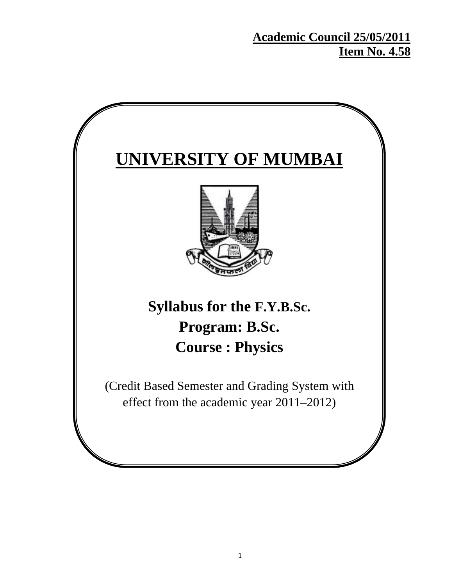**Academic Council 25/05/2011 Item No. 4.58**

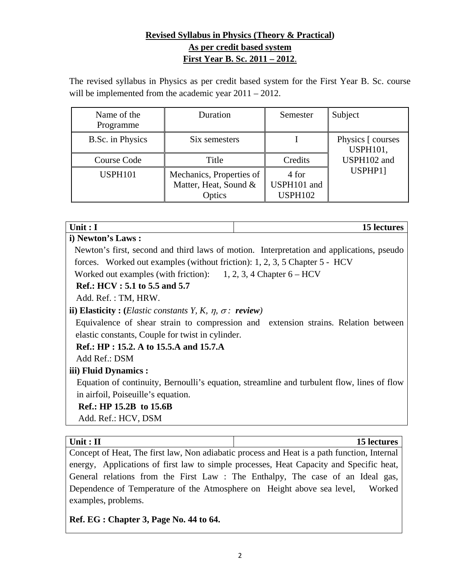# **Revised Syllabus in Physics (Theory & Practical) As per credit based system First Year B. Sc. 2011 – 2012**.

The revised syllabus in Physics as per credit based system for the First Year B. Sc. course will be implemented from the academic year  $2011 - 2012$ .

| Name of the<br>Programme | Duration                                                    | Semester                               | Subject                              |
|--------------------------|-------------------------------------------------------------|----------------------------------------|--------------------------------------|
| <b>B.Sc.</b> in Physics  | Six semesters                                               |                                        | Physics [ courses<br><b>USPH101,</b> |
| Course Code              | Title                                                       | Credits                                | USPH102 and                          |
| <b>USPH101</b>           | Mechanics, Properties of<br>Matter, Heat, Sound &<br>Optics | 4 for<br>USPH101 and<br><b>USPH102</b> | USPHP1]                              |

| ۰.<br>w<br>×<br>۰. |  |  |
|--------------------|--|--|
|--------------------|--|--|

#### **i) Newton's Laws :**

Newton's first, second and third laws of motion. Interpretation and applications, pseudo forces. Worked out examples (without friction): 1, 2, 3, 5 Chapter 5 - HCV

15 lectures

Worked out examples (with friction):  $1, 2, 3, 4$  Chapter  $6 - HCV$ 

#### **Ref.: HCV : 5.1 to 5.5 and 5.7**

Add. Ref. : TM, HRW.

#### **ii) Elasticity :** (*Elastic constants Y, K,*  $\eta$ *,*  $\sigma$ *: <i>review*)

Equivalence of shear strain to compression and extension strains. Relation between elastic constants, Couple for twist in cylinder.

#### **Ref.: HP : 15.2. A to 15.5.A and 15.7.A**

Add Ref.: DSM

# **iii) Fluid Dynamics :**

Equation of continuity, Bernoulli's equation, streamline and turbulent flow, lines of flow in airfoil, Poiseuille's equation.

#### **Ref.: HP 15.2B to 15.6B**

Add. Ref.: HCV, DSM

| Unit : $II$     | <b>15 lectures</b>                                                        |
|-----------------|---------------------------------------------------------------------------|
| Concent of Heat | The first law. Non adjabatic process and Heat is a path function Internal |

Concept of Heat, The first law, Non adiabatic process and Heat is a path function, Internal energy, Applications of first law to simple processes, Heat Capacity and Specific heat, General relations from the First Law : The Enthalpy, The case of an Ideal gas, Dependence of Temperature of the Atmosphere on Height above sea level, Worked examples, problems.

# **Ref. EG : Chapter 3, Page No. 44 to 64.**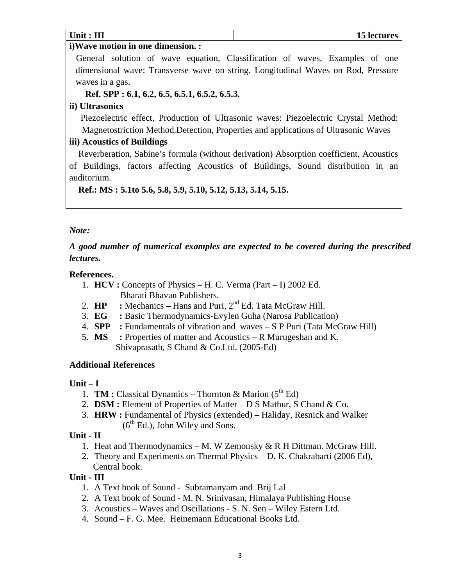| Unit : $III$                       | 15 lectures                                                                 |
|------------------------------------|-----------------------------------------------------------------------------|
| i) Wave motion in one dimension. : |                                                                             |
|                                    | General solution of wave equation, Classification of waves, Examples of one |

dimensional wave: Transverse wave on string. Longitudinal Waves on Rod, Pressure waves in a gas.

 **Ref. SPP : 6.1, 6.2, 6.5, 6.5.1, 6.5.2, 6.5.3.** 

# **ii) Ultrasonics**

 Piezoelectric effect, Production of Ultrasonic waves: Piezoelectric Crystal Method: Magnetostriction Method.Detection, Properties and applications of Ultrasonic Waves

# **iii) Acoustics of Buildings**

 Reverberation, Sabine's formula (without derivation) Absorption coefficient, Acoustics of Buildings, factors affecting Acoustics of Buildings, Sound distribution in an auditorium.

 **Ref.: MS : 5.1to 5.6, 5.8, 5.9, 5.10, 5.12, 5.13, 5.14, 5.15.** 

# *Note:*

# *A good number of numerical examples are expected to be covered during the prescribed lectures.*

# **References.**

- 1. **HCV :** Concepts of Physics H. C. Verma (Part I) 2002 Ed. Bharati Bhavan Publishers.
- 2.  $HP$  : Mechanics Hans and Puri,  $2<sup>nd</sup>$  Ed. Tata McGraw Hill.
- 3. **EG :** Basic Thermodynamics-Evylen Guha (Narosa Publication)
- 4. **SPP :** Fundamentals of vibration and waves S P Puri (Tata McGraw Hill)
- 5. **MS :** Properties of matter and Acoustics R Murugeshan and K. Shivaprasath, S Chand & Co.Ltd. (2005-Ed)

# **Additional References**

# **Unit – I**

- 1. **TM :** Classical Dynamics Thornton & Marion  $(5<sup>th</sup> Ed)$
- 2. **DSM :** Element of Properties of Matter D S Mathur, S Chand & Co.
- 3. **HRW :** Fundamental of Physics (extended) Haliday, Resnick and Walker  $(6<sup>th</sup> Ed.)$ , John Wiley and Sons.

# **Unit - II**

- 1. Heat and Thermodynamics M. W Zemonsky & R H Dittman. McGraw Hill.
- 2. Theory and Experiments on Thermal Physics D. K. Chakrabarti (2006 Ed), Central book.

# **Unit - III**

- 1. A Text book of Sound Subramanyam and Brij Lal
- 2. A Text book of Sound M. N. Srinivasan, Himalaya Publishing House
- 3. Acoustics Waves and Oscillations S. N. Sen Wiley Estern Ltd.
- 4. Sound F. G. Mee. Heinemann Educational Books Ltd.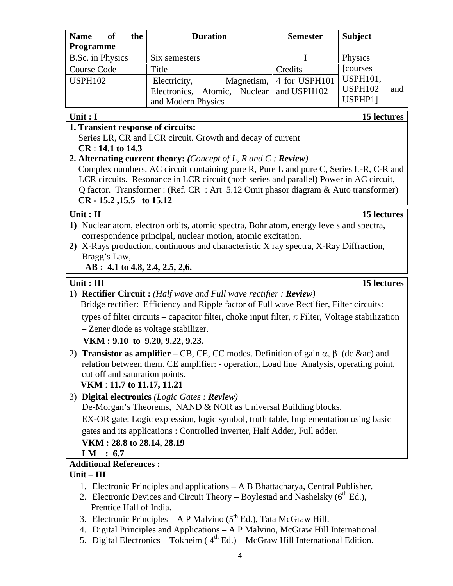| <b>Name</b><br><b>of</b><br>the<br>Programme                                        | <b>Duration</b>                                                                                                                                              |                 | <b>Semester</b> | <b>Subject</b>        |  |  |
|-------------------------------------------------------------------------------------|--------------------------------------------------------------------------------------------------------------------------------------------------------------|-----------------|-----------------|-----------------------|--|--|
| <b>B.Sc.</b> in Physics                                                             | Six semesters                                                                                                                                                |                 | I               | Physics               |  |  |
| <b>Course Code</b>                                                                  | Title                                                                                                                                                        |                 | Credits         | [courses              |  |  |
| <b>USPH102</b>                                                                      | Electricity,                                                                                                                                                 | Magnetism,      | 4 for USPH101   | <b>USPH101,</b>       |  |  |
|                                                                                     | Electronics,                                                                                                                                                 | Atomic, Nuclear | and USPH102     | <b>USPH102</b><br>and |  |  |
|                                                                                     | and Modern Physics                                                                                                                                           |                 |                 | USPHP1]               |  |  |
| Unit: I                                                                             |                                                                                                                                                              |                 |                 | 15 lectures           |  |  |
| 1. Transient response of circuits:                                                  |                                                                                                                                                              |                 |                 |                       |  |  |
|                                                                                     | Series LR, CR and LCR circuit. Growth and decay of current                                                                                                   |                 |                 |                       |  |  |
| $CR: 14.1$ to 14.3                                                                  |                                                                                                                                                              |                 |                 |                       |  |  |
|                                                                                     | 2. Alternating current theory: (Concept of L, R and C: Review)                                                                                               |                 |                 |                       |  |  |
|                                                                                     | Complex numbers, AC circuit containing pure R, Pure L and pure C, Series L-R, C-R and                                                                        |                 |                 |                       |  |  |
|                                                                                     | LCR circuits. Resonance in LCR circuit (both series and parallel) Power in AC circuit,                                                                       |                 |                 |                       |  |  |
| $CR - 15.2$ , 15.5 to 15.12                                                         | Q factor. Transformer: (Ref. CR: Art 5.12 Omit phasor diagram & Auto transformer)                                                                            |                 |                 |                       |  |  |
| Unit: II                                                                            |                                                                                                                                                              |                 |                 | 15 lectures           |  |  |
|                                                                                     | 1) Nuclear atom, electron orbits, atomic spectra, Bohr atom, energy levels and spectra,                                                                      |                 |                 |                       |  |  |
|                                                                                     | correspondence principal, nuclear motion, atomic excitation.                                                                                                 |                 |                 |                       |  |  |
|                                                                                     | 2) X-Rays production, continuous and characteristic X ray spectra, X-Ray Diffraction,                                                                        |                 |                 |                       |  |  |
| Bragg's Law,                                                                        |                                                                                                                                                              |                 |                 |                       |  |  |
| AB : 4.1 to 4.8, 2.4, 2.5, 2,6.                                                     |                                                                                                                                                              |                 |                 |                       |  |  |
| Unit: III                                                                           |                                                                                                                                                              |                 |                 | 15 lectures           |  |  |
|                                                                                     | 1) Rectifier Circuit: (Half wave and Full wave rectifier: Review)<br>Bridge rectifier: Efficiency and Ripple factor of Full wave Rectifier, Filter circuits: |                 |                 |                       |  |  |
|                                                                                     | types of filter circuits – capacitor filter, choke input filter, $\pi$ Filter, Voltage stabilization                                                         |                 |                 |                       |  |  |
| - Zener diode as voltage stabilizer.                                                |                                                                                                                                                              |                 |                 |                       |  |  |
| VKM: 9.10 to 9.20, 9.22, 9.23.                                                      |                                                                                                                                                              |                 |                 |                       |  |  |
|                                                                                     | 2) Transistor as amplifier – CB, CE, CC modes. Definition of gain $\alpha$ , $\beta$ (dc ∾) and                                                              |                 |                 |                       |  |  |
|                                                                                     | relation between them. CE amplifier: - operation, Load line Analysis, operating point,                                                                       |                 |                 |                       |  |  |
| cut off and saturation points.                                                      |                                                                                                                                                              |                 |                 |                       |  |  |
| VKM: 11.7 to 11.17, 11.21                                                           |                                                                                                                                                              |                 |                 |                       |  |  |
|                                                                                     | 3) Digital electronics (Logic Gates : Review)                                                                                                                |                 |                 |                       |  |  |
|                                                                                     | De-Morgan's Theorems, NAND & NOR as Universal Building blocks.                                                                                               |                 |                 |                       |  |  |
|                                                                                     | EX-OR gate: Logic expression, logic symbol, truth table, Implementation using basic                                                                          |                 |                 |                       |  |  |
| gates and its applications: Controlled inverter, Half Adder, Full adder.            |                                                                                                                                                              |                 |                 |                       |  |  |
| VKM: 28.8 to 28.14, 28.19                                                           |                                                                                                                                                              |                 |                 |                       |  |  |
| $LM$ : 6.7                                                                          |                                                                                                                                                              |                 |                 |                       |  |  |
| <b>Additional References:</b>                                                       |                                                                                                                                                              |                 |                 |                       |  |  |
| $Unit–III$                                                                          |                                                                                                                                                              |                 |                 |                       |  |  |
| 1. Electronic Principles and applications – A B Bhattacharya, Central Publisher.    |                                                                                                                                                              |                 |                 |                       |  |  |
| 2. Electronic Devices and Circuit Theory – Boylestad and Nashelsky $(6^{th} Ed.)$ , |                                                                                                                                                              |                 |                 |                       |  |  |
| Prentice Hall of India.                                                             |                                                                                                                                                              |                 |                 |                       |  |  |
|                                                                                     | 3. Electronic Principles – A P Malvino $(5th Ed.)$ , Tata McGraw Hill.                                                                                       |                 |                 |                       |  |  |
| 4. Digital Principles and Applications - A P Malvino, McGraw Hill International.    |                                                                                                                                                              |                 |                 |                       |  |  |

5. Digital Electronics – Tokheim ( $4<sup>th</sup> Ed$ .) – McGraw Hill International Edition.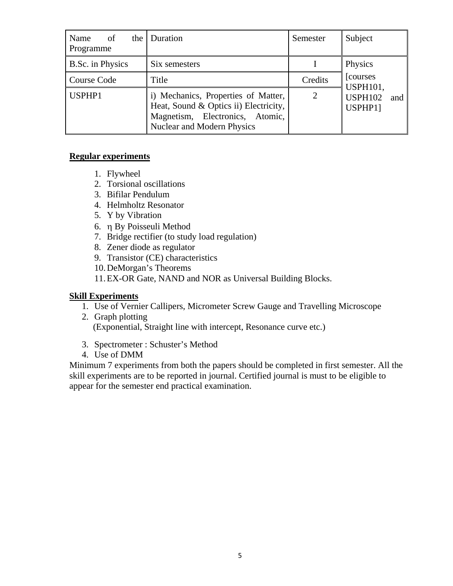| of<br>Name<br>Programme | the   Duration                                                                                                                                | Semester       | Subject                          |
|-------------------------|-----------------------------------------------------------------------------------------------------------------------------------------------|----------------|----------------------------------|
| B.Sc. in Physics        | Six semesters                                                                                                                                 |                | Physics                          |
| Course Code             | Title                                                                                                                                         | Credits        | [courses]<br><b>USPH101,</b>     |
| USPHP1                  | i) Mechanics, Properties of Matter,<br>Heat, Sound & Optics ii) Electricity,<br>Magnetism, Electronics, Atomic,<br>Nuclear and Modern Physics | $\overline{2}$ | <b>USPH102</b><br>and<br>USPHP11 |

#### **Regular experiments**

- 1. Flywheel
- 2. Torsional oscillations
- 3. Bifilar Pendulum
- 4. Helmholtz Resonator
- 5. Y by Vibration
- 6. η By Poisseuli Method
- 7. Bridge rectifier (to study load regulation)
- 8. Zener diode as regulator
- 9. Transistor (CE) characteristics
- 10.DeMorgan's Theorems

11.EX-OR Gate, NAND and NOR as Universal Building Blocks.

#### **Skill Experiments**

- 1. Use of Vernier Callipers, Micrometer Screw Gauge and Travelling Microscope
- 2. Graph plotting (Exponential, Straight line with intercept, Resonance curve etc.)
- 3. Spectrometer : Schuster's Method
- 4. Use of DMM

Minimum 7 experiments from both the papers should be completed in first semester. All the skill experiments are to be reported in journal. Certified journal is must to be eligible to appear for the semester end practical examination.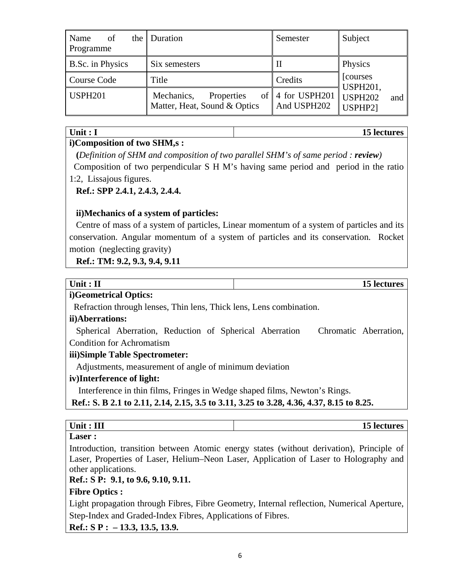| of<br>Name<br>Programme | the Duration                                             | Semester                                | Subject                          |
|-------------------------|----------------------------------------------------------|-----------------------------------------|----------------------------------|
| B.Sc. in Physics        | Six semesters                                            | -11                                     | Physics                          |
| Course Code             | Title                                                    | Credits                                 | [courses]<br><b>USPH201,</b>     |
| <b>USPH201</b>          | Mechanics,<br>Properties<br>Matter, Heat, Sound & Optics | of $\vert$ 4 for USPH201<br>And USPH202 | <b>USPH202</b><br>and<br>USPHP21 |

#### Unit : I 15 lectures

#### **i)Composition of two SHM,s :**

 **(***Definition of SHM and composition of two parallel SHM's of same period : review)*  Composition of two perpendicular S H M's having same period and period in the ratio

# 1:2, Lissajous figures.

#### **Ref.: SPP 2.4.1, 2.4.3, 2.4.4.**

#### **ii)Mechanics of a system of particles:**

Centre of mass of a system of particles, Linear momentum of a system of particles and its conservation. Angular momentum of a system of particles and its conservation. Rocket motion (neglecting gravity)

#### **Ref.: TM: 9.2, 9.3, 9.4, 9.11**

| Unit: $II$                                                                               | 15 lectures                                                                              |
|------------------------------------------------------------------------------------------|------------------------------------------------------------------------------------------|
| i)Geometrical Optics:                                                                    |                                                                                          |
| Refraction through lenses, Thin lens, Thick lens, Lens combination.                      |                                                                                          |
| ii)Aberrations:                                                                          |                                                                                          |
| Spherical Aberration, Reduction of Spherical Aberration                                  | Chromatic Aberration,                                                                    |
| <b>Condition for Achromatism</b>                                                         |                                                                                          |
| iii)Simple Table Spectrometer:                                                           |                                                                                          |
| Adjustments, measurement of angle of minimum deviation                                   |                                                                                          |
| iv)Interference of light:                                                                |                                                                                          |
| Interference in thin films, Fringes in Wedge shaped films, Newton's Rings.               |                                                                                          |
| Ref.: S. B 2.1 to 2.11, 2.14, 2.15, 3.5 to 3.11, 3.25 to 3.28, 4.36, 4.37, 8.15 to 8.25. |                                                                                          |
|                                                                                          |                                                                                          |
| Unit: III                                                                                | 15 lectures                                                                              |
| Laser :                                                                                  |                                                                                          |
|                                                                                          | Introduction, transition between Atomic energy states (without derivation), Principle of |

Introduction, transition between Atomic energy states (without derivation), Principle of Laser, Properties of Laser, Helium–Neon Laser, Application of Laser to Holography and other applications.

## **Ref.: S P: 9.1, to 9.6, 9.10, 9.11.**

#### **Fibre Optics :**

Light propagation through Fibres, Fibre Geometry, Internal reflection, Numerical Aperture, Step-Index and Graded-Index Fibres, Applications of Fibres.

**Ref.: S P : – 13.3, 13.5, 13.9.**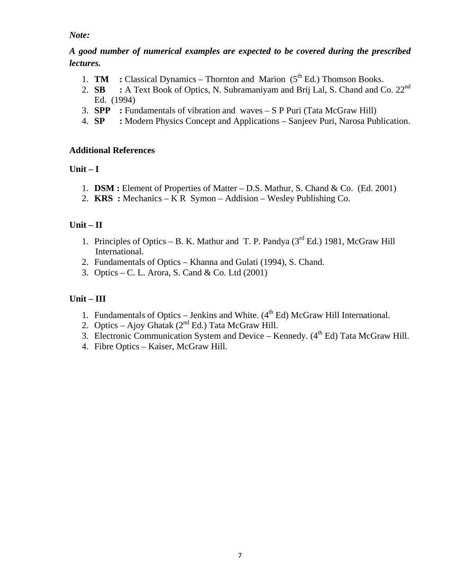#### *Note:*

#### *A good number of numerical examples are expected to be covered during the prescribed lectures.*

- 1. **TM** : Classical Dynamics Thornton and Marion  $(5<sup>th</sup> Ed.)$  Thomson Books.
- 2. **SB** : A Text Book of Optics, N. Subramaniyam and Brij Lal, S. Chand and Co. 22<sup>nd</sup> Ed. (1994)
- 3. **SPP :** Fundamentals of vibration and waves S P Puri (Tata McGraw Hill)
- 4. **SP :** Modern Physics Concept and Applications Sanjeev Puri, Narosa Publication.

#### **Additional References**

# **Unit – I**

- 1. **DSM :** Element of Properties of Matter D.S. Mathur, S. Chand & Co. (Ed. 2001)
- 2. **KRS :** Mechanics K R Symon Addision Wesley Publishing Co.

# **Unit – II**

- 1. Principles of Optics B. K. Mathur and T. P. Pandya  $(3<sup>rd</sup> Ed.)$  1981, McGraw Hill International.
- 2. Fundamentals of Optics Khanna and Gulati (1994), S. Chand.
- 3. Optics C. L. Arora, S. Cand & Co. Ltd (2001)

# **Unit – III**

- 1. Fundamentals of Optics Jenkins and White.  $(4<sup>th</sup> Ed)$  McGraw Hill International.
- 2. Optics Ajoy Ghatak  $(2^{nd} Ed.)$  Tata McGraw Hill.
- 3. Electronic Communication System and Device Kennedy.  $(4<sup>th</sup> Ed)$  Tata McGraw Hill.
- 4. Fibre Optics Kaiser, McGraw Hill.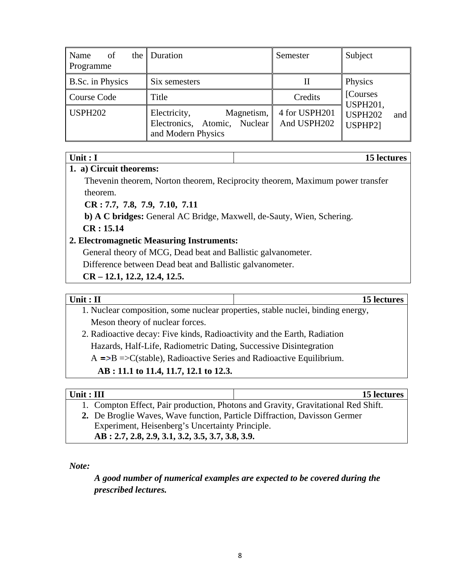| of<br>Name<br>the  <br>Programme | Duration                                                                         | Semester                     | Subject                            |
|----------------------------------|----------------------------------------------------------------------------------|------------------------------|------------------------------------|
| B.Sc. in Physics                 | Six semesters                                                                    | П                            | Physics                            |
| Course Code                      | Title                                                                            | Credits                      | [Courses]<br><b>USPH201,</b>       |
| <b>USPH202</b>                   | Electricity,<br>Magnetism,<br>Electronics, Atomic, Nuclear<br>and Modern Physics | 4 for USPH201<br>And USPH202 | <b>USPH202</b><br>and  <br>USPHP21 |

#### **Unit : I** 15 lectures

#### **1. a) Circuit theorems:**

Thevenin theorem, Norton theorem, Reciprocity theorem, Maximum power transfer theorem.

**CR : 7.7, 7.8, 7.9, 7.10, 7.11** 

**b) A C bridges:** General AC Bridge, Maxwell, de-Sauty, Wien, Schering. **CR : 15.14** 

#### **2. Electromagnetic Measuring Instruments:**

General theory of MCG, Dead beat and Ballistic galvanometer.

Difference between Dead beat and Ballistic galvanometer.

**CR – 12.1, 12.2, 12.4, 12.5.** 

# Unit : II 15 lectures

- 1. Nuclear composition, some nuclear properties, stable nuclei, binding energy, Meson theory of nuclear forces.
- 2. Radioactive decay: Five kinds, Radioactivity and the Earth, Radiation Hazards, Half-Life, Radiometric Dating, Successive Disintegration  $A = B = \sum (stable)$ , Radioactive Series and Radioactive Equilibrium.

# **AB : 11.1 to 11.4, 11.7, 12.1 to 12.3.**

| $\mathbf{r}$<br>- יור<br><b>UML</b> | ---<br>                  |                 |                          |  |              |  |        |  |  |     | roc<br>LJ.<br>∸<br>TO TECHNI |
|-------------------------------------|--------------------------|-----------------|--------------------------|--|--------------|--|--------|--|--|-----|------------------------------|
|                                     | $\overline{\phantom{a}}$ | $\Gamma$ $\sim$ | $\overline{\phantom{a}}$ |  | $\mathbf{m}$ |  | $\sim$ |  |  | . . | 1.01<br>$\cdot$ $\sim$       |

- 1. Compton Effect, Pair production, Photons and Gravity, Gravitational Red Shift.
- **2.** De Broglie Waves, Wave function, Particle Diffraction, Davisson Germer Experiment, Heisenberg's Uncertainty Principle. **AB : 2.7, 2.8, 2.9, 3.1, 3.2, 3.5, 3.7, 3.8, 3.9.**

*Note:* 

# *A good number of numerical examples are expected to be covered during the prescribed lectures.*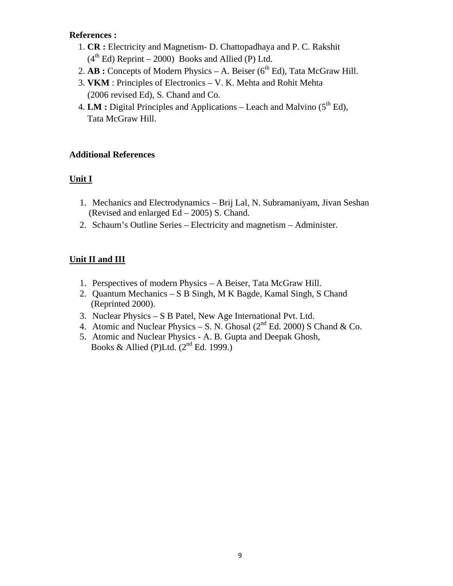#### **References :**

- 1. **CR :** Electricity and Magnetism- D. Chattopadhaya and P. C. Rakshit  $(4<sup>th</sup> Ed)$  Reprint – 2000) Books and Allied (P) Ltd.
- 2.  $AB:$  Concepts of Modern Physics A. Beiser ( $6<sup>th</sup> Ed$ ), Tata McGraw Hill.
- 3. **VKM** : Principles of Electronics V. K. Mehta and Rohit Mehta (2006 revised Ed), S. Chand and Co.
- 4. **LM** : Digital Principles and Applications Leach and Malvino (5<sup>th</sup> Ed), Tata McGraw Hill.

#### **Additional References**

#### **Unit I**

- 1. Mechanics and Electrodynamics Brij Lal, N. Subramaniyam, Jivan Seshan (Revised and enlarged Ed – 2005) S. Chand.
- 2. Schaum's Outline Series Electricity and magnetism Administer.

#### **Unit II and III**

- 1. Perspectives of modern Physics A Beiser, Tata McGraw Hill.
- 2. Quantum Mechanics S B Singh, M K Bagde, Kamal Singh, S Chand (Reprinted 2000).
- 3. Nuclear Physics S B Patel, New Age International Pvt. Ltd.
- 4. Atomic and Nuclear Physics S. N. Ghosal ( $2<sup>nd</sup>$  Ed. 2000) S Chand & Co.
- 5. Atomic and Nuclear Physics A. B. Gupta and Deepak Ghosh, Books & Allied (P)Ltd.  $(2<sup>nd</sup> Ed. 1999.)$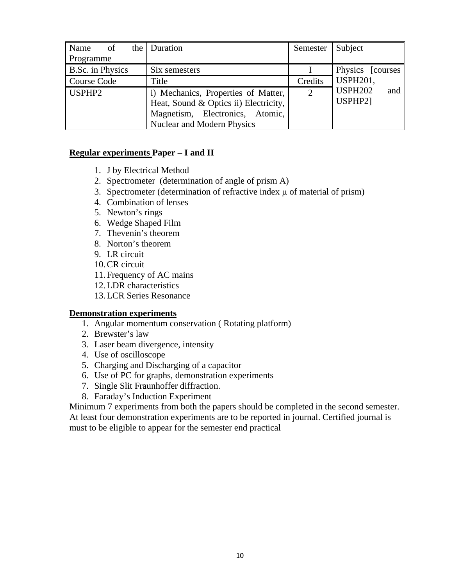| Name<br>of              | the Duration                          | Semester       | Subject               |
|-------------------------|---------------------------------------|----------------|-----------------------|
| Programme               |                                       |                |                       |
| <b>B.Sc.</b> in Physics | Six semesters                         |                | Physics [courses]     |
| Course Code             | Title                                 | Credits        | USPH <sub>201</sub>   |
| USPHP2                  | i) Mechanics, Properties of Matter,   | $\overline{2}$ | <b>USPH202</b><br>and |
|                         | Heat, Sound & Optics ii) Electricity, |                | USPHP21               |
|                         | Magnetism, Electronics, Atomic,       |                |                       |
|                         | <b>Nuclear and Modern Physics</b>     |                |                       |

#### **Regular experiments Paper – I and II**

- 1. J by Electrical Method
- 2. Spectrometer (determination of angle of prism A)
- 3. Spectrometer (determination of refractive index μ of material of prism)
- 4. Combination of lenses
- 5. Newton's rings
- 6. Wedge Shaped Film
- 7. Thevenin's theorem
- 8. Norton's theorem
- 9. LR circuit
- 10.CR circuit
- 11.Frequency of AC mains
- 12.LDR characteristics
- 13.LCR Series Resonance

#### **Demonstration experiments**

- 1. Angular momentum conservation ( Rotating platform)
- 2. Brewster's law
- 3. Laser beam divergence, intensity
- 4. Use of oscilloscope
- 5. Charging and Discharging of a capacitor
- 6. Use of PC for graphs, demonstration experiments
- 7. Single Slit Fraunhoffer diffraction.
- 8. Faraday's Induction Experiment

Minimum 7 experiments from both the papers should be completed in the second semester. At least four demonstration experiments are to be reported in journal. Certified journal is must to be eligible to appear for the semester end practical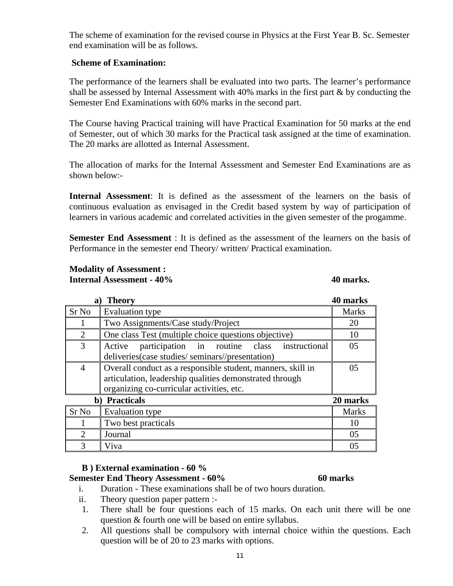The scheme of examination for the revised course in Physics at the First Year B. Sc. Semester end examination will be as follows.

#### **Scheme of Examination:**

The performance of the learners shall be evaluated into two parts. The learner's performance shall be assessed by Internal Assessment with 40% marks in the first part & by conducting the Semester End Examinations with 60% marks in the second part.

The Course having Practical training will have Practical Examination for 50 marks at the end of Semester, out of which 30 marks for the Practical task assigned at the time of examination. The 20 marks are allotted as Internal Assessment.

The allocation of marks for the Internal Assessment and Semester End Examinations are as shown below:-

**Internal Assessment**: It is defined as the assessment of the learners on the basis of continuous evaluation as envisaged in the Credit based system by way of participation of learners in various academic and correlated activities in the given semester of the progamme.

**Semester End Assessment** : It is defined as the assessment of the learners on the basis of Performance in the semester end Theory/ written/ Practical examination.

#### **Modality of Assessment : Internal Assessment - 40% 40 marks. 40 marks. 40 marks.**

| a)                                  | <b>Theory</b>                                               | 40 marks     |  |  |  |  |
|-------------------------------------|-------------------------------------------------------------|--------------|--|--|--|--|
| Sr <sub>No</sub>                    | <b>Evaluation type</b>                                      | <b>Marks</b> |  |  |  |  |
|                                     | Two Assignments/Case study/Project                          | 20           |  |  |  |  |
| $\mathcal{D}_{\mathcal{L}}$         | One class Test (multiple choice questions objective)        |              |  |  |  |  |
| 3                                   | participation in routine class instructional<br>Active      | 05           |  |  |  |  |
|                                     | deliveries (case studies/seminars//presentation)            |              |  |  |  |  |
| 4                                   | Overall conduct as a responsible student, manners, skill in | 05           |  |  |  |  |
|                                     | articulation, leadership qualities demonstrated through     |              |  |  |  |  |
|                                     | organizing co-curricular activities, etc.                   |              |  |  |  |  |
| <b>Practicals</b><br>20 marks<br>b) |                                                             |              |  |  |  |  |
| Sr <sub>No</sub>                    | Evaluation type                                             | <b>Marks</b> |  |  |  |  |
|                                     | Two best practicals                                         | 10           |  |  |  |  |
| $\mathcal{D}_{\mathcal{L}}$         | Journal                                                     | 05           |  |  |  |  |
| 3                                   | Viva                                                        | 05           |  |  |  |  |

#### **B ) External examination - 60 %**

#### **Semester End Theory Assessment - 60% 60 marks**

- i. Duration These examinations shall be of two hours duration.
- ii. Theory question paper pattern :-
- 1. There shall be four questions each of 15 marks. On each unit there will be one question & fourth one will be based on entire syllabus.
- 2. All questions shall be compulsory with internal choice within the questions. Each question will be of 20 to 23 marks with options.